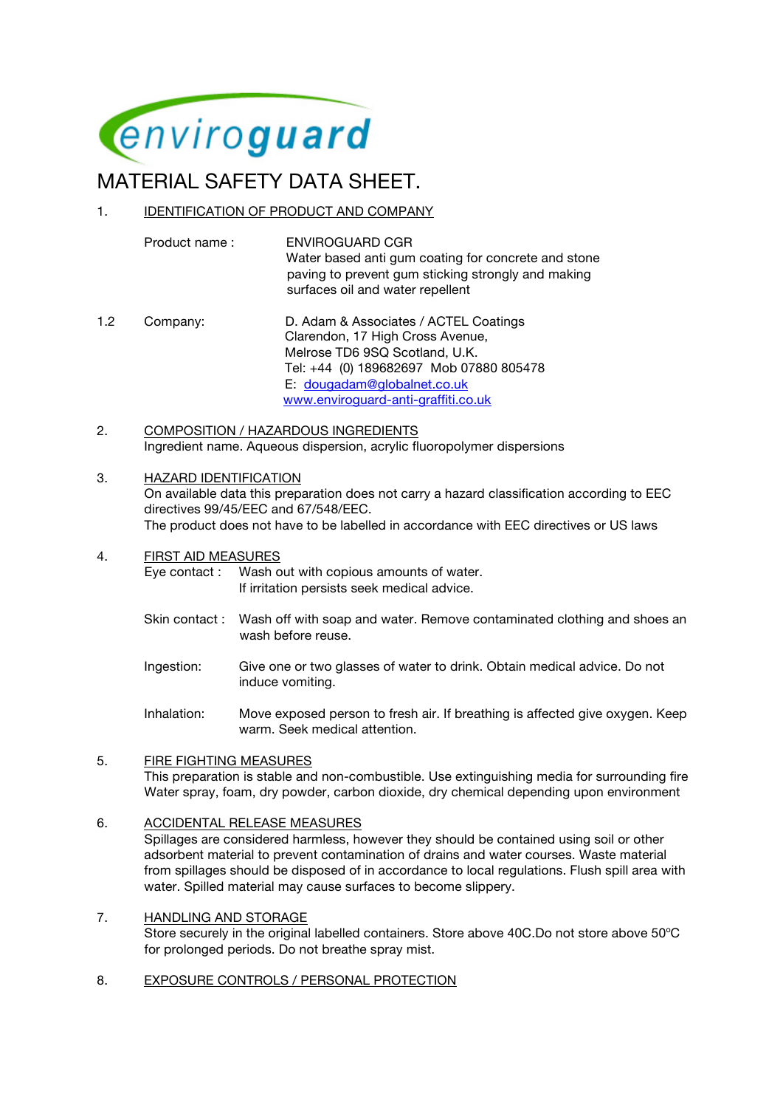

# MATERIAL SAFETY DATA SHEET.

## 1. IDENTIFICATION OF PRODUCT AND COMPANY

Product name : ENVIROGUARD CGR Water based anti gum coating for concrete and stone paving to prevent gum sticking strongly and making surfaces oil and water repellent

- 1.2 Company: D. Adam & Associates / ACTEL Coatings Clarendon, 17 High Cross Avenue, Melrose TD6 9SQ Scotland, U.K. Tel: +44 (0) 189682697 Mob 07880 805478 E: dougadam@globalnet.co.uk www.enviroguard-anti-graffiti.co.uk
- 2. COMPOSITION / HAZARDOUS INGREDIENTS Ingredient name. Aqueous dispersion, acrylic fluoropolymer dispersions

#### 3. HAZARD IDENTIFICATION

 On available data this preparation does not carry a hazard classification according to EEC directives 99/45/EEC and 67/548/EEC. The product does not have to be labelled in accordance with EEC directives or US laws

4. FIRST AID MEASURES

 Eye contact : Wash out with copious amounts of water. If irritation persists seek medical advice.

- Skin contact : Wash off with soap and water. Remove contaminated clothing and shoes an wash before reuse.
- Ingestion: Give one or two glasses of water to drink. Obtain medical advice. Do not induce vomiting.
- Inhalation: Move exposed person to fresh air. If breathing is affected give oxygen. Keep warm. Seek medical attention.

## 5. FIRE FIGHTING MEASURES

 This preparation is stable and non-combustible. Use extinguishing media for surrounding fire Water spray, foam, dry powder, carbon dioxide, dry chemical depending upon environment

## 6. ACCIDENTAL RELEASE MEASURES

 Spillages are considered harmless, however they should be contained using soil or other adsorbent material to prevent contamination of drains and water courses. Waste material from spillages should be disposed of in accordance to local regulations. Flush spill area with water. Spilled material may cause surfaces to become slippery.

## 7. HANDLING AND STORAGE

Store securely in the original labelled containers. Store above 40C.Do not store above 50°C for prolonged periods. Do not breathe spray mist.

8. EXPOSURE CONTROLS / PERSONAL PROTECTION